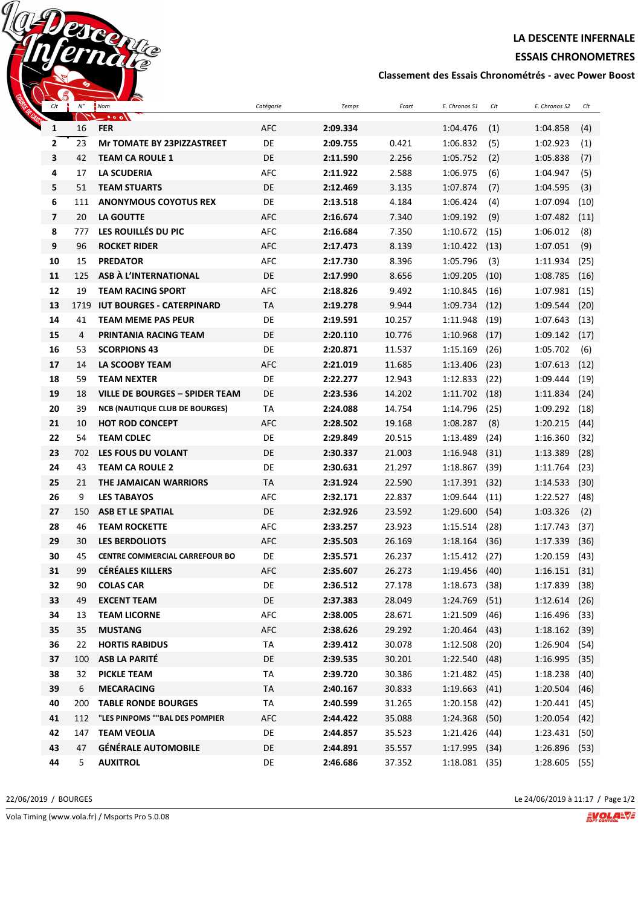**LA DESCENTE INFERNALE**

**ESSAIS CHRONOMETRES**

**Classement des Essais Chronométrés - avec Power Boost**

| $\sim$ 0<br>Clt | $N^{\circ}$ | $\sim$<br>Nom                         | Catégorie  | Temps    | Écart  | E. Chronos S1   | Clt  | E. Chronos S2   | Clt  |
|-----------------|-------------|---------------------------------------|------------|----------|--------|-----------------|------|-----------------|------|
|                 |             | - • • • 1                             |            |          |        |                 |      |                 |      |
| 1               | 16          | <b>FER</b>                            | AFC        | 2:09.334 |        | 1:04.476        | (1)  | 1:04.858        | (4)  |
| 2               | 23          | <b>Mr TOMATE BY 23PIZZASTREET</b>     | DE         | 2:09.755 | 0.421  | 1:06.832        | (5)  | 1:02.923        | (1)  |
| 3               | 42          | <b>TEAM CA ROULE 1</b>                | DE         | 2:11.590 | 2.256  | 1:05.752        | (2)  | 1:05.838        | (7)  |
| 4               | 17          | <b>LA SCUDERIA</b>                    | <b>AFC</b> | 2:11.922 | 2.588  | 1:06.975        | (6)  | 1:04.947        | (5)  |
| 5               | 51          | <b>TEAM STUARTS</b>                   | DE         | 2:12.469 | 3.135  | 1:07.874        | (7)  | 1:04.595        | (3)  |
| 6               | 111         | <b>ANONYMOUS COYOTUS REX</b>          | DE         | 2:13.518 | 4.184  | 1:06.424        | (4)  | 1:07.094        | (10) |
| $\overline{7}$  | 20          | LA GOUTTE                             | AFC        | 2:16.674 | 7.340  | 1:09.192        | (9)  | 1:07.482        | (11) |
| 8               | 777         | LES ROUILLÉS DU PIC                   | AFC        | 2:16.684 | 7.350  | 1:10.672        | (15) | 1:06.012        | (8)  |
| 9               | 96          | <b>ROCKET RIDER</b>                   | AFC        | 2:17.473 | 8.139  | 1:10.422        | (13) | 1:07.051        | (9)  |
| 10              | 15          | <b>PREDATOR</b>                       | AFC        | 2:17.730 | 8.396  | 1:05.796        | (3)  | 1:11.934        | (25) |
| 11              | 125         | ASB À L'INTERNATIONAL                 | DE         | 2:17.990 | 8.656  | 1:09.205        | (10) | 1:08.785        | (16) |
| 12              | 19          | <b>TEAM RACING SPORT</b>              | AFC        | 2:18.826 | 9.492  | 1:10.845        | (16) | 1:07.981        | (15) |
| 13              | 1719        | <b>IUT BOURGES - CATERPINARD</b>      | <b>TA</b>  | 2:19.278 | 9.944  | 1:09.734        | (12) | 1:09.544        | (20) |
| 14              | 41          | <b>TEAM MEME PAS PEUR</b>             | DE         | 2:19.591 | 10.257 | 1:11.948        | (19) | 1:07.643        | (13) |
| 15              | 4           | <b>PRINTANIA RACING TEAM</b>          | DE         | 2:20.110 | 10.776 | 1:10.968        | (17) | 1:09.142        | (17) |
| 16              | 53          | <b>SCORPIONS 43</b>                   | DE         | 2:20.871 | 11.537 | 1:15.169        | (26) | 1:05.702        | (6)  |
| 17              | 14          | LA SCOOBY TEAM                        | <b>AFC</b> | 2:21.019 | 11.685 | 1:13.406        | (23) | 1:07.613        | (12) |
| 18              | 59          | <b>TEAM NEXTER</b>                    | DE         | 2:22.277 | 12.943 | 1:12.833        | (22) | 1:09.444        | (19) |
| 19              | 18          | <b>VILLE DE BOURGES - SPIDER TEAM</b> | DE         | 2:23.536 | 14.202 | 1:11.702        | (18) | 1:11.834        | (24) |
| 20              | 39          | <b>NCB (NAUTIQUE CLUB DE BOURGES)</b> | TA         | 2:24.088 | 14.754 | 1:14.796        | (25) | 1:09.292        | (18) |
| 21              | 10          | <b>HOT ROD CONCEPT</b>                | AFC        | 2:28.502 | 19.168 | 1:08.287        | (8)  | 1:20.215        | (44) |
| 22              | 54          | <b>TEAM CDLEC</b>                     | DE         | 2:29.849 | 20.515 | 1:13.489        | (24) | 1:16.360        | (32) |
| 23              | 702         | LES FOUS DU VOLANT                    | DE         | 2:30.337 | 21.003 | 1:16.948        | (31) | 1:13.389        | (28) |
| 24              | 43          | <b>TEAM CA ROULE 2</b>                | DE         | 2:30.631 | 21.297 | 1:18.867        | (39) | 1:11.764        | (23) |
| 25              | 21          | THE JAMAICAN WARRIORS                 | TA         | 2:31.924 | 22.590 | 1:17.391        | (32) | 1:14.533        | (30) |
| 26              | 9           | <b>LES TABAYOS</b>                    | AFC        | 2:32.171 | 22.837 | 1:09.644        | (11) | 1:22.527        | (48) |
| 27              | 150         | <b>ASB ET LE SPATIAL</b>              | DE         | 2:32.926 | 23.592 | 1:29.600        | (54) | 1:03.326        | (2)  |
| 28              | 46          | <b>TEAM ROCKETTE</b>                  | AFC        | 2:33.257 | 23.923 | 1:15.514        | (28) | 1:17.743        | (37) |
| 29              | 30          | <b>LES BERDOLIOTS</b>                 | AFC        | 2:35.503 | 26.169 | 1:18.164        | (36) | 1:17.339        | (36) |
| 30              | 45          | <b>CENTRE COMMERCIAL CARREFOUR BO</b> | DE         | 2:35.571 | 26.237 | 1:15.412        | (27) | 1:20.159        | (43) |
| 31              | 99          | <b>CÉRÉALES KILLERS</b>               | <b>AFC</b> | 2:35.607 | 26.273 | 1:19.456        | (40) | 1:16.151        | (31) |
| 32              | 90          | <b>COLAS CAR</b>                      | DE         | 2:36.512 | 27.178 | $1:18.673$ (38) |      | 1:17.839 (38)   |      |
| 33              | 49          | <b>EXCENT TEAM</b>                    | DE         | 2:37.383 | 28.049 | 1:24.769        | (51) | $1:12.614$ (26) |      |
| 34              | 13          | <b>TEAM LICORNE</b>                   | AFC        | 2:38.005 | 28.671 | $1:21.509$ (46) |      | $1:16.496$ (33) |      |
| 35              | 35          | <b>MUSTANG</b>                        | AFC        | 2:38.626 | 29.292 | $1:20.464$ (43) |      | $1:18.162$ (39) |      |
| 36              | 22          | <b>HORTIS RABIDUS</b>                 | TA         | 2:39.412 | 30.078 | $1:12.508$ (20) |      | $1:26.904$ (54) |      |
| 37              | 100         | <b>ASB LA PARITÉ</b>                  | DE         | 2:39.535 | 30.201 | 1:22.540        | (48) | $1:16.995$ (35) |      |
| 38              | 32          | PICKLE TEAM                           | <b>TA</b>  | 2:39.720 | 30.386 | $1:21.482$ (45) |      | 1:18.238        | (40) |
| 39              | 6           | <b>MECARACING</b>                     | <b>TA</b>  | 2:40.167 | 30.833 | $1:19.663$ (41) |      | $1:20.504$ (46) |      |
| 40              | 200         | <b>TABLE RONDE BOURGES</b>            | <b>TA</b>  | 2:40.599 | 31.265 | $1:20.158$ (42) |      | $1:20.441$ (45) |      |
| 41              | 112         | "LES PINPOMS ""BAL DES POMPIER        | <b>AFC</b> | 2:44.422 | 35.088 | 1:24.368        | (50) | $1:20.054$ (42) |      |
| 42              | 147         | <b>TEAM VEOLIA</b>                    | DE         | 2:44.857 | 35.523 | $1:21.426$ (44) |      | 1:23.431 (50)   |      |
| 43              | 47          | <b>GÉNÉRALE AUTOMOBILE</b>            | DE         | 2:44.891 | 35.557 | $1:17.995$ (34) |      | $1:26.896$ (53) |      |
| 44              | 5           | <b>AUXITROL</b>                       | DE         | 2:46.686 | 37.352 | $1:18.081$ (35) |      | 1:28.605 (55)   |      |

22/06/2019 / BOURGES Le 24/06/2019 à 11:17 / Page 1/2

Vola Timing (www.vola.fr) / Msports Pro 5.0.08

Webereem

G

EVOLANT